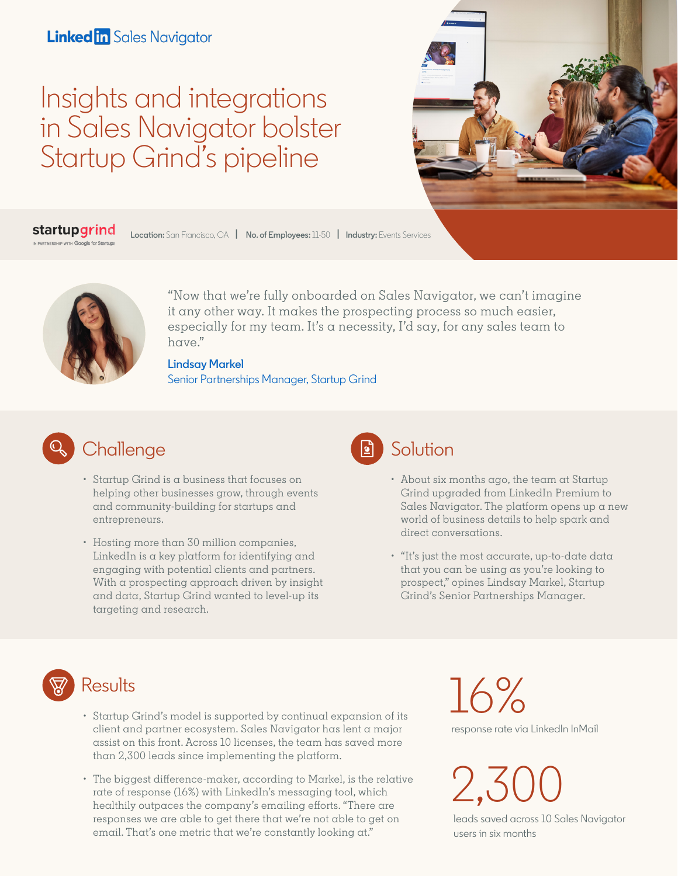#### **Linked in** Sales Navigator

# Insights and integrations in Sales Navigator bolster Startup Grind's pipeline



startupgrind **Location:** San Francisco, CA **| No. of Employees:** 11-50 **| Industry:** Events Services



["Now that we're fully onboarded on Sales Na](https://www.linkedin.com/in/lindsay-markel-7b18737a/)vigator, we can't imagine it any other way. It makes the prospecting process so much easier, especially for my team. It's a necessity, I'd say, for any sales team to have."

**Lindsay Markel** Senior Partnerships Manager, Startup Grind



- Startup Grind is a business that focuses on helping other businesses grow, through events and community-building for startups and entrepreneurs.
- Hosting more than 30 million companies, LinkedIn is a key platform for identifying and engaging with potential clients and partners. With a prospecting approach driven by insight and data, Startup Grind wanted to level-up its targeting and research.



- - About six months ago, the team at Startup Grind upgraded from LinkedIn Premium to Sales Navigator. The platform opens up a new world of business details to help spark and direct conversations.
	- "It's just the most accurate, up-to-date data that you can be using as you're looking to prospect," opines Lindsay Markel, Startup Grind's Senior Partnerships Manager.



#### **Results**

- Startup Grind's model is supported by continual expansion of its client and partner ecosystem. Sales Navigator has lent a major assist on this front. Across 10 licenses, the team has saved more than 2,300 leads since implementing the platform.
- The biggest difference-maker, according to Markel, is the relative rate of response (16%) with LinkedIn's messaging tool, which healthily outpaces the company's emailing efforts. "There are responses we are able to get there that we're not able to get on email. That's one metric that we're constantly looking at."

16% response rate via LinkedIn InMail

2,300

leads saved across 10 Sales Navigator users in six months